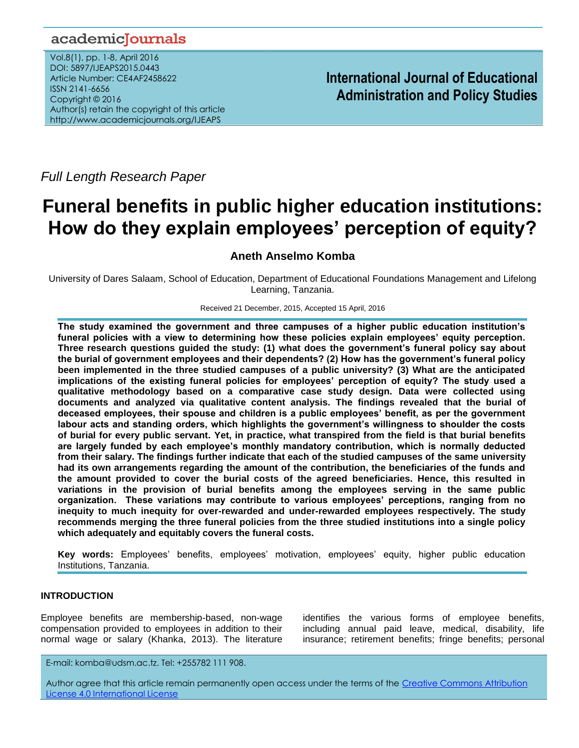# academiclournals

Vol.8(1), pp. 1-8, April 2016 DOI: 5897/IJEAPS2015.0443 Article Number: CE4AF2458622 ISSN 2141-6656 Copyright © 2016 Author(s) retain the copyright of this article http://www.academicjournals.org/IJEAPS

**International Journal of Educational Administration and Policy Studies**

*Full Length Research Paper*

# **Funeral benefits in public higher education institutions: How do they explain employees' perception of equity?**

# **Aneth Anselmo Komba**

University of Dares Salaam, School of Education, Department of Educational Foundations Management and Lifelong Learning, Tanzania.

Received 21 December, 2015, Accepted 15 April, 2016

**The study examined the government and three campuses of a higher public education institution's funeral policies with a view to determining how these policies explain employees' equity perception. Three research questions guided the study: (1) what does the government's funeral policy say about the burial of government employees and their dependents? (2) How has the government's funeral policy been implemented in the three studied campuses of a public university? (3) What are the anticipated implications of the existing funeral policies for employees' perception of equity? The study used a qualitative methodology based on a comparative case study design. Data were collected using documents and analyzed via qualitative content analysis. The findings revealed that the burial of deceased employees, their spouse and children is a public employees' benefit, as per the government labour acts and standing orders, which highlights the government's willingness to shoulder the costs of burial for every public servant. Yet, in practice, what transpired from the field is that burial benefits are largely funded by each employee's monthly mandatory contribution, which is normally deducted from their salary. The findings further indicate that each of the studied campuses of the same university had its own arrangements regarding the amount of the contribution, the beneficiaries of the funds and the amount provided to cover the burial costs of the agreed beneficiaries. Hence, this resulted in variations in the provision of burial benefits among the employees serving in the same public organization. These variations may contribute to various employees' perceptions, ranging from no inequity to much inequity for over-rewarded and under-rewarded employees respectively. The study recommends merging the three funeral policies from the three studied institutions into a single policy which adequately and equitably covers the funeral costs.**

**Key words:** Employees' benefits, employees' motivation, employees' equity, higher public education Institutions, Tanzania.

# **INTRODUCTION**

Employee benefits are membership-based, non-wage compensation provided to employees in addition to their normal wage or salary (Khanka, 2013). The literature

identifies the various forms of employee benefits, including annual paid leave, medical, disability, life insurance; retirement benefits; fringe benefits; personal

E-mail: komba@udsm.ac.tz. Tel: +255782 111 908.

Author agree that this article remain permanently open access under the terms of the [Creative Commons Attribution](http://creativecommons.org/licenses/by/4.0/deed.en_US)  [License 4.0 International License](http://creativecommons.org/licenses/by/4.0/deed.en_US)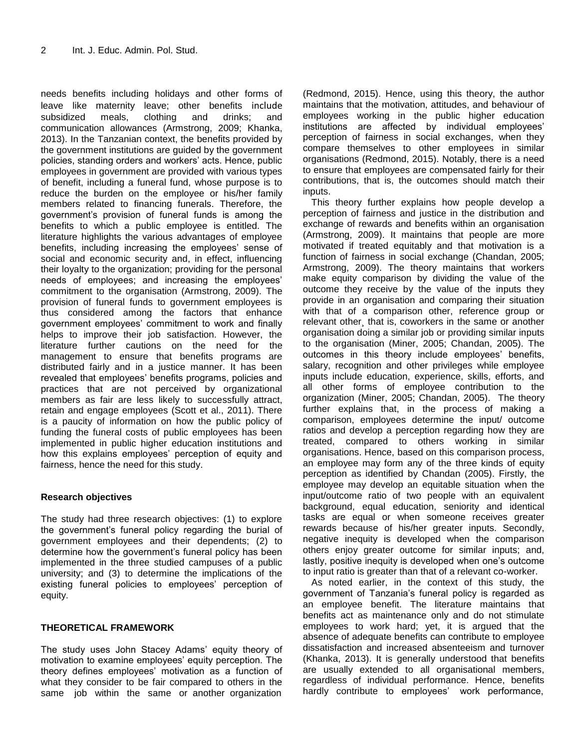needs benefits including holidays and other forms of leave like maternity leave; other benefits include subsidized meals, clothing and drinks; and communication allowances (Armstrong, 2009; Khanka, 2013). In the Tanzanian context, the benefits provided by the government institutions are guided by the government policies, standing orders and workers' acts. Hence, public employees in government are provided with various types of benefit, including a funeral fund, whose purpose is to reduce the burden on the employee or his/her family members related to financing funerals. Therefore, the government's provision of funeral funds is among the benefits to which a public employee is entitled. The literature highlights the various advantages of employee benefits, including increasing the employees' sense of social and economic security and, in effect, influencing their loyalty to the organization; providing for the personal needs of employees; and increasing the employees' commitment to the organisation (Armstrong, 2009). The provision of funeral funds to government employees is thus considered among the factors that enhance government employees' commitment to work and finally helps to improve their job satisfaction. However, the literature further cautions on the need for the management to ensure that benefits programs are distributed fairly and in a justice manner. It has been revealed that employees' benefits programs, policies and practices that are not perceived by organizational members as fair are less likely to successfully attract, retain and engage employees (Scott et al., 2011). There is a paucity of information on how the public policy of funding the funeral costs of public employees has been implemented in public higher education institutions and how this explains employees' perception of equity and fairness, hence the need for this study.

## **Research objectives**

The study had three research objectives: (1) to explore the government's funeral policy regarding the burial of government employees and their dependents; (2) to determine how the government's funeral policy has been implemented in the three studied campuses of a public university; and (3) to determine the implications of the existing funeral policies to employees' perception of equity.

## **THEORETICAL FRAMEWORK**

The study uses John Stacey Adams' equity theory of motivation to examine employees' equity perception. The theory defines employees' motivation as a function of what they consider to be fair compared to others in the same job within the same or another organization

(Redmond, 2015). Hence, using this theory, the author maintains that the motivation, attitudes, and behaviour of employees working in the public higher education institutions are affected by individual employees' perception of fairness in social exchanges, when they compare themselves to other employees in similar organisations (Redmond, 2015). Notably, there is a need to ensure that employees are compensated fairly for their contributions, that is, the outcomes should match their inputs.

This theory further explains how people develop a perception of fairness and justice in the distribution and exchange of rewards and benefits within an organisation (Armstrong, 2009). It maintains that people are more motivated if treated equitably and that motivation is a function of fairness in social exchange (Chandan, 2005; Armstrong, 2009). The theory maintains that workers make equity comparison by dividing the value of the outcome they receive by the value of the inputs they provide in an organisation and comparing their situation with that of a comparison other, reference group or relevant other, that is, coworkers in the same or another organisation doing a similar job or providing similar inputs to the organisation (Miner, 2005; Chandan, 2005). The outcomes in this theory include employees' benefits, salary, recognition and other privileges while employee inputs include education, experience, skills, efforts, and all other forms of employee contribution to the organization (Miner, 2005; Chandan, 2005). The theory further explains that, in the process of making a comparison, employees determine the input/ outcome ratios and develop a perception regarding how they are treated, compared to others working in similar organisations. Hence, based on this comparison process, an employee may form any of the three kinds of equity perception as identified by Chandan (2005). Firstly, the employee may develop an equitable situation when the input/outcome ratio of two people with an equivalent background, equal education, seniority and identical tasks are equal or when someone receives greater rewards because of his/her greater inputs. Secondly, negative inequity is developed when the comparison others enjoy greater outcome for similar inputs; and, lastly, positive inequity is developed when one's outcome to input ratio is greater than that of a relevant co-worker.

As noted earlier, in the context of this study, the government of Tanzania's funeral policy is regarded as an employee benefit. The literature maintains that benefits act as maintenance only and do not stimulate employees to work hard; yet, it is argued that the absence of adequate benefits can contribute to employee dissatisfaction and increased absenteeism and turnover (Khanka, 2013). It is generally understood that benefits are usually extended to all organisational members, regardless of individual performance. Hence, benefits hardly contribute to employees' work performance,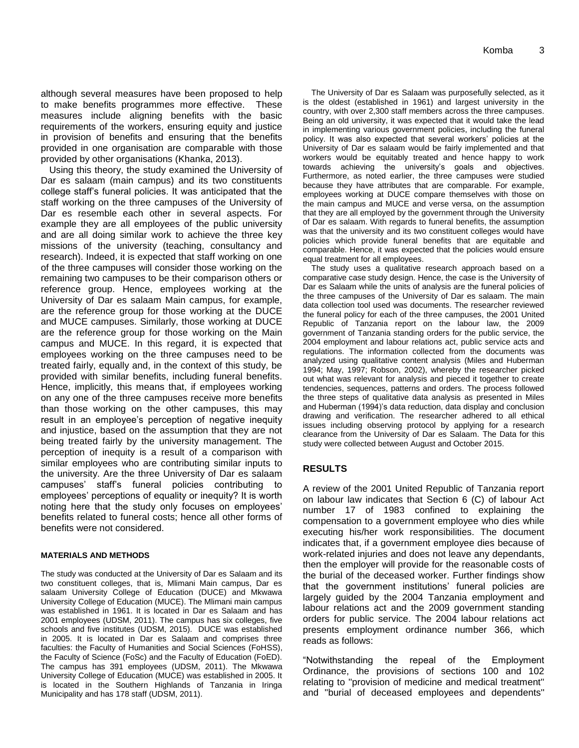although several measures have been proposed to help to make benefits programmes more effective. These measures include aligning benefits with the basic requirements of the workers, ensuring equity and justice in provision of benefits and ensuring that the benefits provided in one organisation are comparable with those provided by other organisations (Khanka, 2013).

Using this theory, the study examined the University of Dar es salaam (main campus) and its two constituents college staff's funeral policies. It was anticipated that the staff working on the three campuses of the University of Dar es resemble each other in several aspects. For example they are all employees of the public university and are all doing similar work to achieve the three key missions of the university (teaching, consultancy and research). Indeed, it is expected that staff working on one of the three campuses will consider those working on the remaining two campuses to be their comparison others or reference group. Hence, employees working at the University of Dar es salaam Main campus, for example, are the reference group for those working at the DUCE and MUCE campuses. Similarly, those working at DUCE are the reference group for those working on the Main campus and MUCE. In this regard, it is expected that employees working on the three campuses need to be treated fairly, equally and, in the context of this study, be provided with similar benefits, including funeral benefits. Hence, implicitly, this means that, if employees working on any one of the three campuses receive more benefits than those working on the other campuses, this may result in an employee's perception of negative inequity and injustice, based on the assumption that they are not being treated fairly by the university management. The perception of inequity is a result of a comparison with similar employees who are contributing similar inputs to the university. Are the three University of Dar es salaam campuses' staff's funeral policies contributing to employees' perceptions of equality or inequity? It is worth noting here that the study only focuses on employees' benefits related to funeral costs; hence all other forms of benefits were not considered.

#### **MATERIALS AND METHODS**

The study was conducted at the University of Dar es Salaam and its two constituent colleges, that is, Mlimani Main campus, Dar es salaam University College of Education (DUCE) and Mkwawa University College of Education (MUCE). The Mlimani main campus was established in 1961. It is located in Dar es Salaam and has 2001 employees (UDSM, 2011). The campus has six colleges, five schools and five institutes (UDSM, 2015). DUCE was established in 2005. It is located in Dar es Salaam and comprises three faculties: the Faculty of Humanities and Social Sciences (FoHSS), the Faculty of Science (FoSc) and the Faculty of Education (FoED). The campus has 391 employees (UDSM, 2011). The Mkwawa University College of Education (MUCE) was established in 2005. It is located in the Southern Highlands of Tanzania in Iringa Municipality and has 178 staff (UDSM, 2011).

The University of Dar es Salaam was purposefully selected, as it is the oldest (established in 1961) and largest university in the country, with over 2,300 staff members across the three campuses. Being an old university, it was expected that it would take the lead in implementing various government policies, including the funeral policy. It was also expected that several workers' policies at the University of Dar es salaam would be fairly implemented and that workers would be equitably treated and hence happy to work towards achieving the university's goals and objectives. Furthermore, as noted earlier, the three campuses were studied because they have attributes that are comparable. For example, employees working at DUCE compare themselves with those on the main campus and MUCE and verse versa, on the assumption that they are all employed by the government through the University of Dar es salaam. With regards to funeral benefits, the assumption was that the university and its two constituent colleges would have policies which provide funeral benefits that are equitable and comparable. Hence, it was expected that the policies would ensure equal treatment for all employees.

The study uses a qualitative research approach based on a comparative case study design. Hence, the case is the University of Dar es Salaam while the units of analysis are the funeral policies of the three campuses of the University of Dar es salaam. The main data collection tool used was documents. The researcher reviewed the funeral policy for each of the three campuses, the 2001 United Republic of Tanzania report on the labour law, the 2009 government of Tanzania standing orders for the public service, the 2004 employment and labour relations act, public service acts and regulations. The information collected from the documents was analyzed using qualitative content analysis (Miles and Huberman 1994; May, 1997; Robson, 2002), whereby the researcher picked out what was relevant for analysis and pieced it together to create tendencies, sequences, patterns and orders. The process followed the three steps of qualitative data analysis as presented in Miles and Huberman (1994)'s data reduction, data display and conclusion drawing and verification. The researcher adhered to all ethical issues including observing protocol by applying for a research clearance from the University of Dar es Salaam. The Data for this study were collected between August and October 2015.

## **RESULTS**

A review of the 2001 United Republic of Tanzania report on labour law indicates that Section 6 (C) of labour Act number 17 of 1983 confined to explaining the compensation to a government employee who dies while executing his/her work responsibilities. The document indicates that, if a government employee dies because of work-related injuries and does not leave any dependants, then the employer will provide for the reasonable costs of the burial of the deceased worker. Further findings show that the government institutions' funeral policies are largely guided by the 2004 Tanzania employment and labour relations act and the 2009 government standing orders for public service. The 2004 labour relations act presents employment ordinance number 366, which reads as follows:

"Notwithstanding the repeal of the Employment Ordinance, the provisions of sections 100 and 102 relating to ''provision of medicine and medical treatment'' and ''burial of deceased employees and dependents''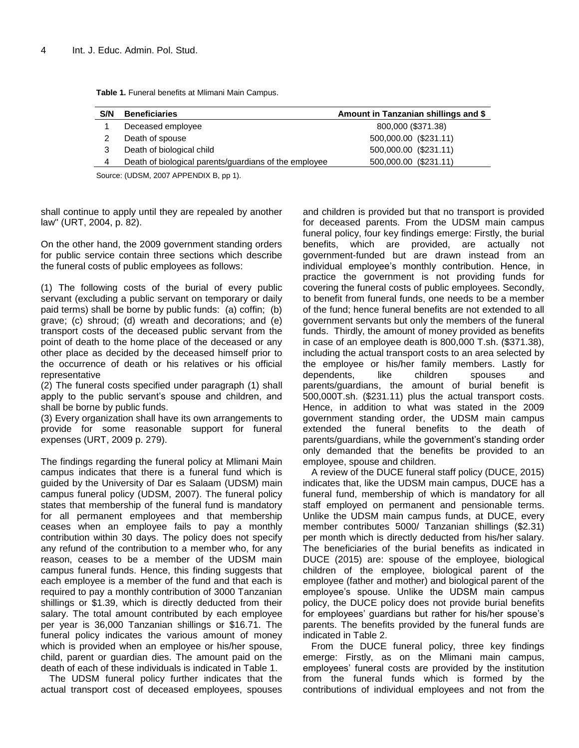| <b>Beneficiaries</b>                                  | Amount in Tanzanian shillings and \$ |  |  |
|-------------------------------------------------------|--------------------------------------|--|--|
| Deceased employee                                     | 800,000 (\$371.38)                   |  |  |
| Death of spouse                                       | 500,000.00 (\$231.11)                |  |  |
| Death of biological child                             | 500,000.00 (\$231.11)                |  |  |
| Death of biological parents/guardians of the employee | 500,000.00 (\$231.11)                |  |  |
|                                                       |                                      |  |  |

**Table 1.** Funeral benefits at Mlimani Main Campus.

Source: (UDSM, 2007 APPENDIX B, pp 1).

shall continue to apply until they are repealed by another law'' (URT, 2004, p. 82).

On the other hand, the 2009 government standing orders for public service contain three sections which describe the funeral costs of public employees as follows:

(1) The following costs of the burial of every public servant (excluding a public servant on temporary or daily paid terms) shall be borne by public funds: (a) coffin; (b) grave; (c) shroud; (d) wreath and decorations; and (e) transport costs of the deceased public servant from the point of death to the home place of the deceased or any other place as decided by the deceased himself prior to the occurrence of death or his relatives or his official representative

(2) The funeral costs specified under paragraph (1) shall apply to the public servant's spouse and children, and shall be borne by public funds.

(3) Every organization shall have its own arrangements to provide for some reasonable support for funeral expenses (URT, 2009 p. 279).

The findings regarding the funeral policy at Mlimani Main campus indicates that there is a funeral fund which is guided by the University of Dar es Salaam (UDSM) main campus funeral policy (UDSM, 2007). The funeral policy states that membership of the funeral fund is mandatory for all permanent employees and that membership ceases when an employee fails to pay a monthly contribution within 30 days. The policy does not specify any refund of the contribution to a member who, for any reason, ceases to be a member of the UDSM main campus funeral funds. Hence, this finding suggests that each employee is a member of the fund and that each is required to pay a monthly contribution of 3000 Tanzanian shillings or \$1.39, which is directly deducted from their salary. The total amount contributed by each employee per year is 36,000 Tanzanian shillings or \$16.71. The funeral policy indicates the various amount of money which is provided when an employee or his/her spouse, child, parent or guardian dies. The amount paid on the death of each of these individuals is indicated in Table 1.

The UDSM funeral policy further indicates that the actual transport cost of deceased employees, spouses and children is provided but that no transport is provided for deceased parents. From the UDSM main campus funeral policy, four key findings emerge: Firstly, the burial benefits, which are provided, are actually not government-funded but are drawn instead from an individual employee's monthly contribution. Hence, in practice the government is not providing funds for covering the funeral costs of public employees. Secondly, to benefit from funeral funds, one needs to be a member of the fund; hence funeral benefits are not extended to all government servants but only the members of the funeral funds. Thirdly, the amount of money provided as benefits in case of an employee death is 800,000 T.sh. (\$371.38), including the actual transport costs to an area selected by the employee or his/her family members. Lastly for dependents, like children spouses and parents/guardians, the amount of burial benefit is 500,000T.sh. (\$231.11) plus the actual transport costs. Hence, in addition to what was stated in the 2009 government standing order, the UDSM main campus extended the funeral benefits to the death of parents/guardians, while the government's standing order only demanded that the benefits be provided to an employee, spouse and children.

A review of the DUCE funeral staff policy (DUCE, 2015) indicates that, like the UDSM main campus, DUCE has a funeral fund, membership of which is mandatory for all staff employed on permanent and pensionable terms. Unlike the UDSM main campus funds, at DUCE, every member contributes 5000/ Tanzanian shillings (\$2.31) per month which is directly deducted from his/her salary. The beneficiaries of the burial benefits as indicated in DUCE (2015) are: spouse of the employee, biological children of the employee, biological parent of the employee (father and mother) and biological parent of the employee's spouse. Unlike the UDSM main campus policy, the DUCE policy does not provide burial benefits for employees' guardians but rather for his/her spouse's parents. The benefits provided by the funeral funds are indicated in Table 2.

From the DUCE funeral policy, three key findings emerge: Firstly, as on the Mlimani main campus, employees' funeral costs are provided by the institution from the funeral funds which is formed by the contributions of individual employees and not from the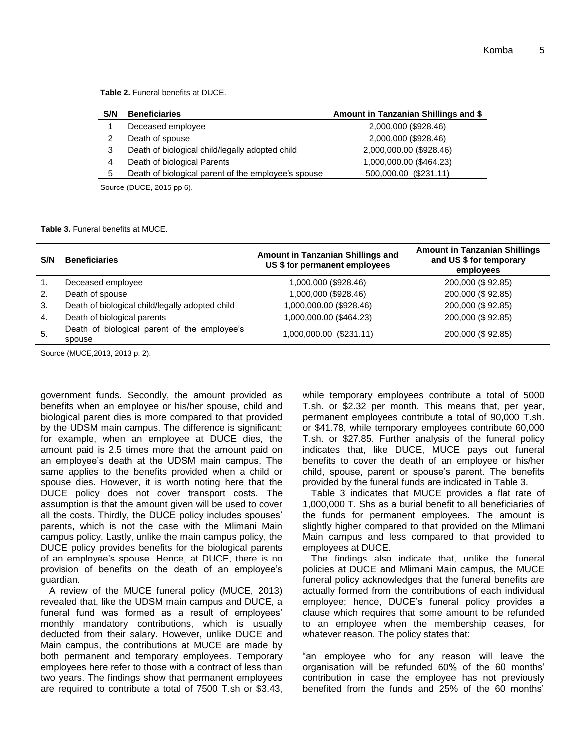**Table 2.** Funeral benefits at DUCE.

| Amount in Tanzanian Shillings and \$ |
|--------------------------------------|
| 2,000,000 (\$928.46)                 |
| 2,000,000 (\$928.46)                 |
| 2,000,000.00 (\$928.46)              |
| 1,000,000.00 (\$464.23)              |
| 500,000.00 (\$231.11)                |
|                                      |

Source (DUCE, 2015 pp 6).

#### **Table 3.** Funeral benefits at MUCE.

| S/N            | <b>Beneficiaries</b>                                   | Amount in Tanzanian Shillings and<br>US \$ for permanent employees | <b>Amount in Tanzanian Shillings</b><br>and US \$ for temporary<br>employees |
|----------------|--------------------------------------------------------|--------------------------------------------------------------------|------------------------------------------------------------------------------|
| $\mathbf{1}$ . | Deceased employee                                      | 1,000,000 (\$928.46)                                               | 200,000 (\$92.85)                                                            |
| 2.             | Death of spouse                                        | 1,000,000 (\$928.46)                                               | 200,000 (\$92.85)                                                            |
| 3.             | Death of biological child/legally adopted child        | 1,000,000.00 (\$928.46)                                            | 200,000 (\$92.85)                                                            |
| 4.             | Death of biological parents                            | 1,000,000.00 (\$464.23)                                            | 200,000 (\$92.85)                                                            |
| 5.             | Death of biological parent of the employee's<br>spouse | 1,000,000.00 (\$231.11)                                            | 200,000 (\$92.85)                                                            |

Source (MUCE,2013, 2013 p. 2).

government funds. Secondly, the amount provided as benefits when an employee or his/her spouse, child and biological parent dies is more compared to that provided by the UDSM main campus. The difference is significant; for example, when an employee at DUCE dies, the amount paid is 2.5 times more that the amount paid on an employee's death at the UDSM main campus. The same applies to the benefits provided when a child or spouse dies. However, it is worth noting here that the DUCE policy does not cover transport costs. The assumption is that the amount given will be used to cover all the costs. Thirdly, the DUCE policy includes spouses' parents, which is not the case with the Mlimani Main campus policy. Lastly, unlike the main campus policy, the DUCE policy provides benefits for the biological parents of an employee's spouse. Hence, at DUCE, there is no provision of benefits on the death of an employee's guardian.

A review of the MUCE funeral policy (MUCE, 2013) revealed that, like the UDSM main campus and DUCE, a funeral fund was formed as a result of employees' monthly mandatory contributions, which is usually deducted from their salary. However, unlike DUCE and Main campus, the contributions at MUCE are made by both permanent and temporary employees. Temporary employees here refer to those with a contract of less than two years. The findings show that permanent employees are required to contribute a total of 7500 T.sh or \$3.43,

while temporary employees contribute a total of 5000 T.sh. or \$2.32 per month. This means that, per year, permanent employees contribute a total of 90,000 T.sh. or \$41.78, while temporary employees contribute 60,000 T.sh. or \$27.85. Further analysis of the funeral policy indicates that, like DUCE, MUCE pays out funeral benefits to cover the death of an employee or his/her child, spouse, parent or spouse's parent. The benefits provided by the funeral funds are indicated in Table 3.

Table 3 indicates that MUCE provides a flat rate of 1,000,000 T. Shs as a burial benefit to all beneficiaries of the funds for permanent employees. The amount is slightly higher compared to that provided on the Mlimani Main campus and less compared to that provided to employees at DUCE.

The findings also indicate that, unlike the funeral policies at DUCE and Mlimani Main campus, the MUCE funeral policy acknowledges that the funeral benefits are actually formed from the contributions of each individual employee; hence, DUCE's funeral policy provides a clause which requires that some amount to be refunded to an employee when the membership ceases, for whatever reason. The policy states that:

"an employee who for any reason will leave the organisation will be refunded 60% of the 60 months' contribution in case the employee has not previously benefited from the funds and 25% of the 60 months'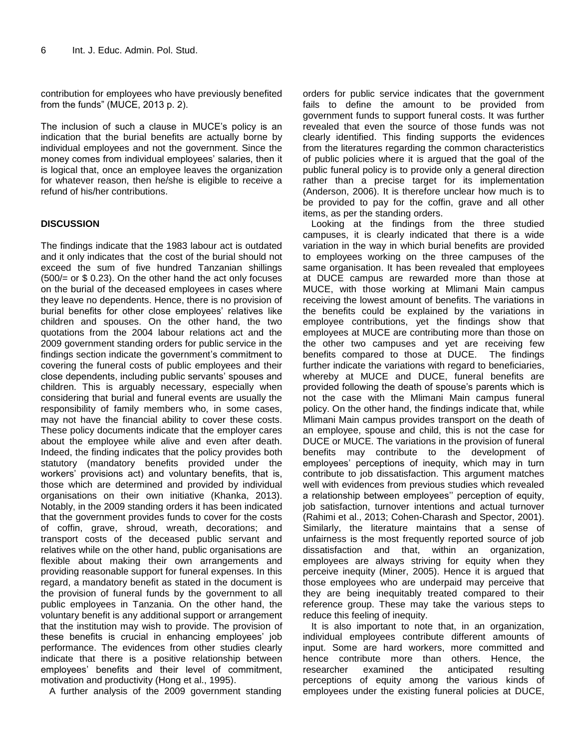contribution for employees who have previously benefited from the funds" (MUCE, 2013 p. 2).

The inclusion of such a clause in MUCE's policy is an indication that the burial benefits are actually borne by individual employees and not the government. Since the money comes from individual employees' salaries, then it is logical that, once an employee leaves the organization for whatever reason, then he/she is eligible to receive a refund of his/her contributions.

## **DISCUSSION**

The findings indicate that the 1983 labour act is outdated and it only indicates that the cost of the burial should not exceed the sum of five hundred Tanzanian shillings  $(500/4)$  or \$ 0.23). On the other hand the act only focuses on the burial of the deceased employees in cases where they leave no dependents. Hence, there is no provision of burial benefits for other close employees' relatives like children and spouses. On the other hand, the two quotations from the 2004 labour relations act and the 2009 government standing orders for public service in the findings section indicate the government's commitment to covering the funeral costs of public employees and their close dependents, including public servants' spouses and children. This is arguably necessary, especially when considering that burial and funeral events are usually the responsibility of family members who, in some cases, may not have the financial ability to cover these costs. These policy documents indicate that the employer cares about the employee while alive and even after death. Indeed, the finding indicates that the policy provides both statutory (mandatory benefits provided under the workers' provisions act) and voluntary benefits, that is, those which are determined and provided by individual organisations on their own initiative (Khanka, 2013). Notably, in the 2009 standing orders it has been indicated that the government provides funds to cover for the costs of coffin, grave, shroud, wreath, decorations; and transport costs of the deceased public servant and relatives while on the other hand, public organisations are flexible about making their own arrangements and providing reasonable support for funeral expenses. In this regard, a mandatory benefit as stated in the document is the provision of funeral funds by the government to all public employees in Tanzania. On the other hand, the voluntary benefit is any additional support or arrangement that the institution may wish to provide. The provision of these benefits is crucial in enhancing employees' job performance. The evidences from other studies clearly indicate that there is a positive relationship between employees' benefits and their level of commitment, motivation and productivity (Hong et al., 1995).

A further analysis of the 2009 government standing

orders for public service indicates that the government fails to define the amount to be provided from government funds to support funeral costs. It was further revealed that even the source of those funds was not clearly identified. This finding supports the evidences from the literatures regarding the common characteristics of public policies where it is argued that the goal of the public funeral policy is to provide only a general direction rather than a precise target for its implementation (Anderson, 2006). It is therefore unclear how much is to be provided to pay for the coffin, grave and all other items, as per the standing orders.

Looking at the findings from the three studied campuses, it is clearly indicated that there is a wide variation in the way in which burial benefits are provided to employees working on the three campuses of the same organisation. It has been revealed that employees at DUCE campus are rewarded more than those at MUCE, with those working at Mlimani Main campus receiving the lowest amount of benefits. The variations in the benefits could be explained by the variations in employee contributions, yet the findings show that employees at MUCE are contributing more than those on the other two campuses and yet are receiving few benefits compared to those at DUCE. The findings further indicate the variations with regard to beneficiaries, whereby at MUCE and DUCE, funeral benefits are provided following the death of spouse's parents which is not the case with the Mlimani Main campus funeral policy. On the other hand, the findings indicate that, while Mlimani Main campus provides transport on the death of an employee, spouse and child, this is not the case for DUCE or MUCE. The variations in the provision of funeral benefits may contribute to the development of employees' perceptions of inequity, which may in turn contribute to job dissatisfaction. This argument matches well with evidences from previous studies which revealed a relationship between employees'' perception of equity, job satisfaction, turnover intentions and actual turnover (Rahimi et al., 2013; Cohen-Charash and Spector, 2001). Similarly, the literature maintains that a sense of unfairness is the most frequently reported source of job dissatisfaction and that, within an organization, employees are always striving for equity when they perceive inequity (Miner, 2005). Hence it is argued that those employees who are underpaid may perceive that they are being inequitably treated compared to their reference group. These may take the various steps to reduce this feeling of inequity.

It is also important to note that, in an organization, individual employees contribute different amounts of input. Some are hard workers, more committed and hence contribute more than others. Hence, the researcher examined the anticipated resulting perceptions of equity among the various kinds of employees under the existing funeral policies at DUCE,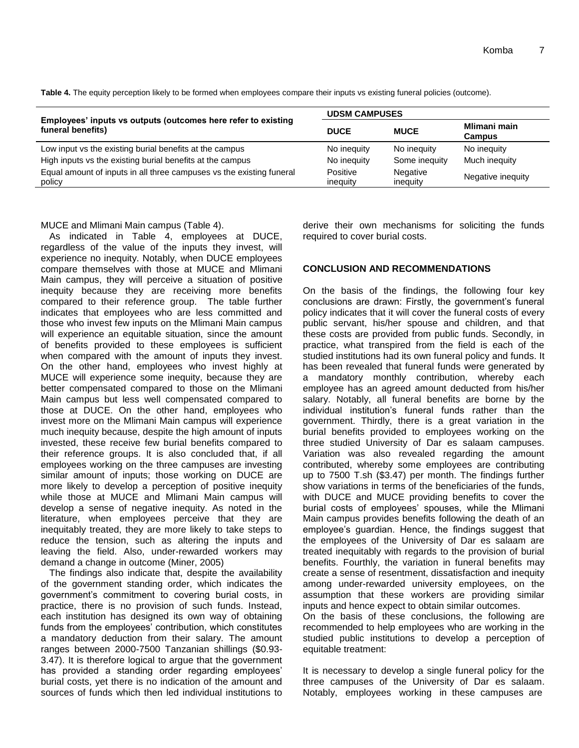|                                                                                    | <b>UDSM CAMPUSES</b> |                      |                               |  |
|------------------------------------------------------------------------------------|----------------------|----------------------|-------------------------------|--|
| Employees' inputs vs outputs (outcomes here refer to existing<br>funeral benefits) | <b>DUCE</b>          | <b>MUCE</b>          | Mlimani main<br><b>Campus</b> |  |
| Low input vs the existing burial benefits at the campus                            | No inequity          | No inequity          | No inequity                   |  |
| High inputs vs the existing burial benefits at the campus                          | No inequity          | Some inequity        | Much inequity                 |  |
| Equal amount of inputs in all three campuses vs the existing funeral<br>policy     | Positive<br>inequity | Negative<br>inequity | Negative inequity             |  |

**Table 4.** The equity perception likely to be formed when employees compare their inputs vs existing funeral policies (outcome).

MUCE and Mlimani Main campus (Table 4).

As indicated in Table 4, employees at DUCE, regardless of the value of the inputs they invest, will experience no inequity. Notably, when DUCE employees compare themselves with those at MUCE and Mlimani Main campus, they will perceive a situation of positive inequity because they are receiving more benefits compared to their reference group. The table further indicates that employees who are less committed and those who invest few inputs on the Mlimani Main campus will experience an equitable situation, since the amount of benefits provided to these employees is sufficient when compared with the amount of inputs they invest. On the other hand, employees who invest highly at MUCE will experience some inequity, because they are better compensated compared to those on the Mlimani Main campus but less well compensated compared to those at DUCE. On the other hand, employees who invest more on the Mlimani Main campus will experience much inequity because, despite the high amount of inputs invested, these receive few burial benefits compared to their reference groups. It is also concluded that, if all employees working on the three campuses are investing similar amount of inputs; those working on DUCE are more likely to develop a perception of positive inequity while those at MUCE and Mlimani Main campus will develop a sense of negative inequity. As noted in the literature, when employees perceive that they are inequitably treated, they are more likely to take steps to reduce the tension, such as altering the inputs and leaving the field. Also, under-rewarded workers may demand a change in outcome (Miner, 2005)

The findings also indicate that, despite the availability of the government standing order, which indicates the government's commitment to covering burial costs, in practice, there is no provision of such funds. Instead, each institution has designed its own way of obtaining funds from the employees' contribution, which constitutes a mandatory deduction from their salary. The amount ranges between 2000-7500 Tanzanian shillings (\$0.93- 3.47). It is therefore logical to argue that the government has provided a standing order regarding employees' burial costs, yet there is no indication of the amount and sources of funds which then led individual institutions to derive their own mechanisms for soliciting the funds required to cover burial costs.

## **CONCLUSION AND RECOMMENDATIONS**

On the basis of the findings, the following four key conclusions are drawn: Firstly, the government's funeral policy indicates that it will cover the funeral costs of every public servant, his/her spouse and children, and that these costs are provided from public funds. Secondly, in practice, what transpired from the field is each of the studied institutions had its own funeral policy and funds. It has been revealed that funeral funds were generated by a mandatory monthly contribution, whereby each employee has an agreed amount deducted from his/her salary. Notably, all funeral benefits are borne by the individual institution's funeral funds rather than the government. Thirdly, there is a great variation in the burial benefits provided to employees working on the three studied University of Dar es salaam campuses. Variation was also revealed regarding the amount contributed, whereby some employees are contributing up to 7500 T.sh (\$3.47) per month. The findings further show variations in terms of the beneficiaries of the funds, with DUCE and MUCE providing benefits to cover the burial costs of employees' spouses, while the Mlimani Main campus provides benefits following the death of an employee's guardian. Hence, the findings suggest that the employees of the University of Dar es salaam are treated inequitably with regards to the provision of burial benefits. Fourthly, the variation in funeral benefits may create a sense of resentment, dissatisfaction and inequity among under-rewarded university employees, on the assumption that these workers are providing similar inputs and hence expect to obtain similar outcomes.

On the basis of these conclusions, the following are recommended to help employees who are working in the studied public institutions to develop a perception of equitable treatment:

It is necessary to develop a single funeral policy for the three campuses of the University of Dar es salaam. Notably, employees working in these campuses are